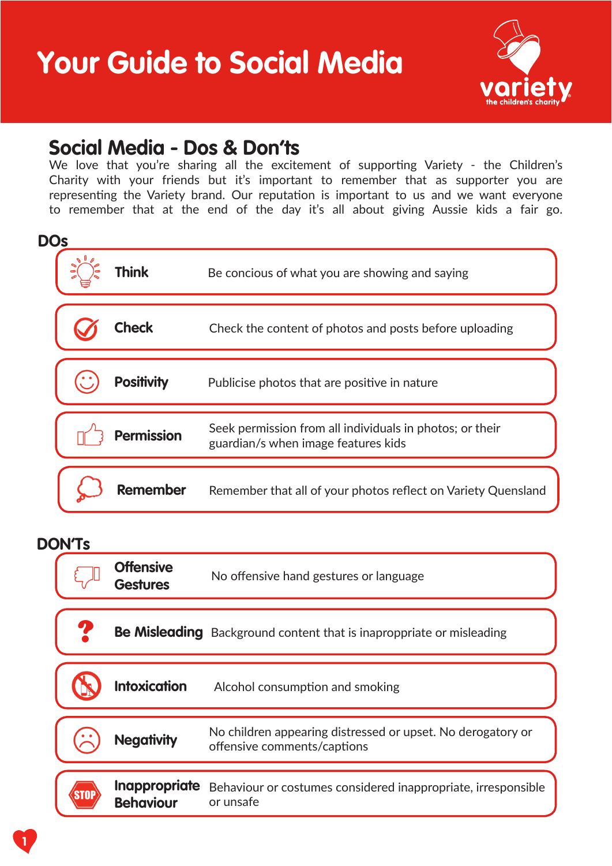**Your Guide to Social Media**



### **Social Media - Dos & Don'ts**

We love that you're sharing all the excitement of supporting Variety - the Children's Charity with your friends but it's important to remember that as supporter you are representing the Variety brand. Our reputation is important to us and we want everyone to remember that at the end of the day it's all about giving Aussie kids a fair go.

| <b>DOs</b> |                   |                                                                                                 |
|------------|-------------------|-------------------------------------------------------------------------------------------------|
|            | <b>Think</b>      | Be concious of what you are showing and saying                                                  |
|            | Check             | Check the content of photos and posts before uploading                                          |
|            | <b>Positivity</b> | Publicise photos that are positive in nature                                                    |
|            | <b>Permission</b> | Seek permission from all individuals in photos; or their<br>guardian/s when image features kids |
|            | <b>Remember</b>   | Remember that all of your photos reflect on Variety Quensland                                   |

#### **DON'Ts**

| UI 13 |                                          |                                                                                            |
|-------|------------------------------------------|--------------------------------------------------------------------------------------------|
|       | <b>Offensive</b><br><b>Gestures</b>      | No offensive hand gestures or language                                                     |
|       |                                          | <b>Be Misleading</b> Background content that is inaproppriate or misleading                |
|       | <b>Intoxication</b>                      | Alcohol consumption and smoking                                                            |
|       | <b>Negativity</b>                        | No children appearing distressed or upset. No derogatory or<br>offensive comments/captions |
|       |                                          |                                                                                            |
|       | <b>Inappropriate</b><br><b>Behaviour</b> | Behaviour or costumes considered inappropriate, irresponsible<br>or unsafe                 |